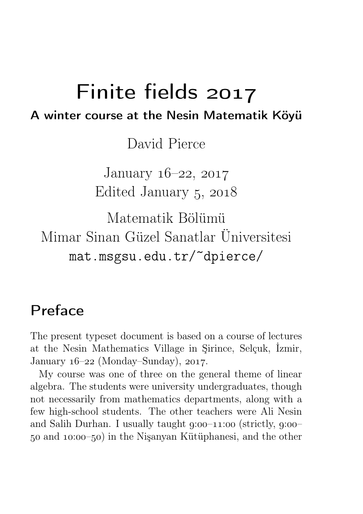# Finite fields A winter course at the Nesin Matematik Köyü

David Pierce

January  $16-22$ ,  $2017$ Edited January 5, 2018

Matematik Bölümü Mimar Sinan Güzel Sanatlar Üniversitesi mat.msgsu.edu.tr/~dpierce/

# Preface

The present typeset document is based on a course of lectures at the Nesin Mathematics Village in Şirince, Selçuk, İzmir, January  $16-22$  (Monday–Sunday),  $2017$ .

My course was one of three on the general theme of linear algebra. The students were university undergraduates, though not necessarily from mathematics departments, along with a few high-school students. The other teachers were Ali Nesin and Salih Durhan. I usually taught  $g: 00-11: 00$  (strictly,  $g: 00 50$  and  $10:00-50$  in the Nisanyan Kütüphanesi, and the other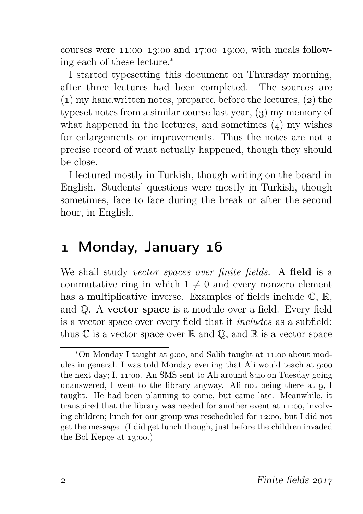courses were  $11:00-13:00$  and  $17:00-19:00$ , with meals following each of these lecture.<sup>∗</sup>

I started typesetting this document on Thursday morning, after three lectures had been completed. The sources are  $(1)$  my handwritten notes, prepared before the lectures,  $(2)$  the typeset notes from a similar course last year,  $(3)$  my memory of what happened in the lectures, and sometimes  $(4)$  my wishes for enlargements or improvements. Thus the notes are not a precise record of what actually happened, though they should be close.

I lectured mostly in Turkish, though writing on the board in English. Students' questions were mostly in Turkish, though sometimes, face to face during the break or after the second hour, in English.

### 1 Monday, January 16

We shall study vector spaces over finite fields. A field is a commutative ring in which  $1 \neq 0$  and every nonzero element has a multiplicative inverse. Examples of fields include  $\mathbb{C}, \mathbb{R},$ and Q. A vector space is a module over a field. Every field is a vector space over every field that it includes as a subfield: thus  $\mathbb C$  is a vector space over  $\mathbb R$  and  $\mathbb Q$ , and  $\mathbb R$  is a vector space

<sup>\*</sup>On Monday I taught at 9:00, and Salih taught at 11:00 about modules in general. I was told Monday evening that Ali would teach at  $g$ :00 the next day; I,  $11:00$ . An SMS sent to Ali around 8:40 on Tuesday going unanswered, I went to the library anyway. Ali not being there at  $q$ , I taught. He had been planning to come, but came late. Meanwhile, it transpired that the library was needed for another event at  $11:00$ , involving children; lunch for our group was rescheduled for  $12:00$ , but I did not get the message. (I did get lunch though, just before the children invaded the Bol Kepçe at  $13:00$ .)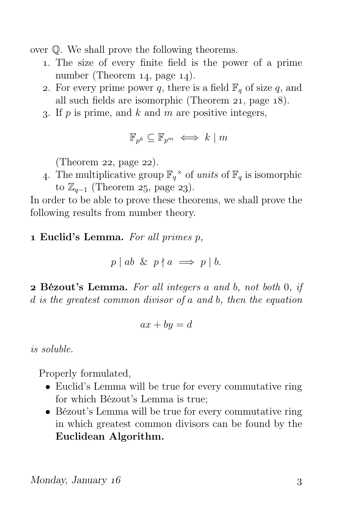over Q. We shall prove the following theorems.

- . The size of every finite field is the power of a prime number (Theorem  $14$ , page  $14$ ).
- 2. For every prime power q, there is a field  $\mathbb{F}_q$  of size q, and all such fields are isomorphic (Theorem  $21$ , page  $18$ ).
- 3. If  $p$  is prime, and  $k$  and  $m$  are positive integers,

$$
\mathbb{F}_{p^k} \subseteq \mathbb{F}_{p^m} \iff k \mid m
$$

(Theorem 22, page  $22$ ).

4. The multiplicative group  $\mathbb{F}_q^{\times}$  of units of  $\mathbb{F}_q$  is isomorphic to  $\mathbb{Z}_{q-1}$  (Theorem 25, page 23).

In order to be able to prove these theorems, we shall prove the following results from number theory.

### $1$  Euclid's Lemma. For all primes  $p$ ,

$$
p \mid ab \And p \nmid a \implies p \mid b.
$$

 Bézout's Lemma. For all integers a and b, not both 0, if d is the greatest common divisor of a and b, then the equation

$$
ax + by = d
$$

is soluble.

Properly formulated,

- Euclid's Lemma will be true for every commutative ring for which Bézout's Lemma is true;
- Bézout's Lemma will be true for every commutative ring in which greatest common divisors can be found by the Euclidean Algorithm.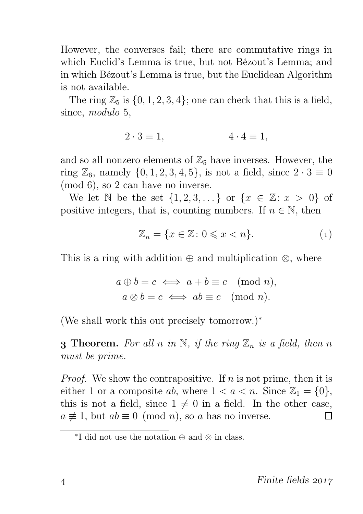However, the converses fail; there are commutative rings in which Euclid's Lemma is true, but not Bézout's Lemma; and in which Bézout's Lemma is true, but the Euclidean Algorithm is not available.

The ring  $\mathbb{Z}_5$  is  $\{0, 1, 2, 3, 4\}$ ; one can check that this is a field, since, modulo 5,

$$
2 \cdot 3 \equiv 1, \qquad \qquad 4 \cdot 4 \equiv 1,
$$

and so all nonzero elements of  $\mathbb{Z}_5$  have inverses. However, the ring  $\mathbb{Z}_6$ , namely  $\{0, 1, 2, 3, 4, 5\}$ , is not a field, since  $2 \cdot 3 \equiv 0$ (mod 6), so 2 can have no inverse.

We let N be the set  $\{1, 2, 3, \ldots\}$  or  $\{x \in \mathbb{Z}: x > 0\}$  of positive integers, that is, counting numbers. If  $n \in \mathbb{N}$ , then

$$
\mathbb{Z}_n = \{ x \in \mathbb{Z} \colon 0 \leqslant x < n \}. \tag{1}
$$

This is a ring with addition  $\oplus$  and multiplication  $\otimes$ , where

$$
a \oplus b = c \iff a + b \equiv c \pmod{n},
$$
  
 $a \otimes b = c \iff ab \equiv c \pmod{n}.$ 

(We shall work this out precisely tomorrow.)<sup>∗</sup>

**3 Theorem.** For all n in N, if the ring  $\mathbb{Z}_n$  is a field, then n must be prime.

*Proof.* We show the contrapositive. If  $n$  is not prime, then it is either 1 or a composite ab, where  $1 < a < n$ . Since  $\mathbb{Z}_1 = \{0\},\$ this is not a field, since  $1 \neq 0$  in a field. In the other case,  $a \not\equiv 1$ , but  $ab \equiv 0 \pmod{n}$ , so a has no inverse. П

<sup>∗</sup> I did not use the notation ⊕ and ⊗ in class.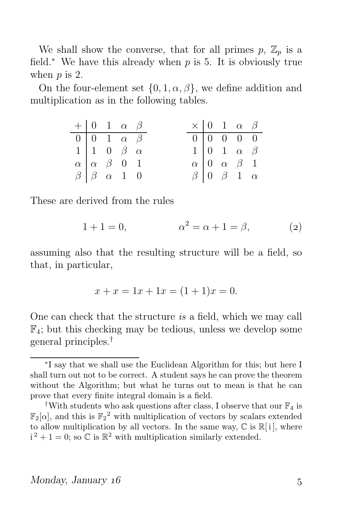We shall show the converse, that for all primes  $p, Z_p$  is a field.<sup>∗</sup> We have this already when  $p$  is 5. It is obviously true when  $p$  is 2.

On the four-element set  $\{0, 1, \alpha, \beta\}$ , we define addition and multiplication as in the following tables.

| $+$ 0 1 $\alpha$ $\beta$                     |  |                                  |  | $\times$ 0 1 $\alpha$ $\beta$ |  |                                              |  |
|----------------------------------------------|--|----------------------------------|--|-------------------------------|--|----------------------------------------------|--|
| $\boxed{0}$ $\boxed{0}$ $1$ $\alpha$ $\beta$ |  |                                  |  |                               |  |                                              |  |
|                                              |  | $1 \vert 1 \ 0 \ \beta \ \alpha$ |  |                               |  | $1 \vert 0 \vert 1 \vert \alpha \vert \beta$ |  |
|                                              |  | $\alpha \alpha \beta \ 0 1$      |  |                               |  | $\alpha$ 0 $\alpha$ $\beta$ 1                |  |
| $\beta$   $\beta$ $\alpha$ 1 0               |  |                                  |  | $\beta$ 0 $\beta$ 1 $\alpha$  |  |                                              |  |

These are derived from the rules

$$
1 + 1 = 0,
$$
  $\alpha^2 = \alpha + 1 = \beta,$  (2)

assuming also that the resulting structure will be a field, so that, in particular,

$$
x + x = 1x + 1x = (1 + 1)x = 0.
$$

One can check that the structure is a field, which we may call  $\mathbb{F}_4$ ; but this checking may be tedious, unless we develop some general principles.†

<sup>∗</sup> I say that we shall use the Euclidean Algorithm for this; but here I shall turn out not to be correct. A student says he can prove the theorem without the Algorithm; but what he turns out to mean is that he can prove that every finite integral domain is a field.

<sup>&</sup>lt;sup>†</sup>With students who ask questions after class, I observe that our  $\mathbb{F}_4$  is  $\mathbb{F}_2[\alpha]$ , and this is  $\mathbb{F}_2^2$  with multiplication of vectors by scalars extended to allow multiplication by all vectors. In the same way,  $\mathbb C$  is  $\mathbb R[i]$ , where  $i^2 + 1 = 0$ ; so C is  $\mathbb{R}^2$  with multiplication similarly extended.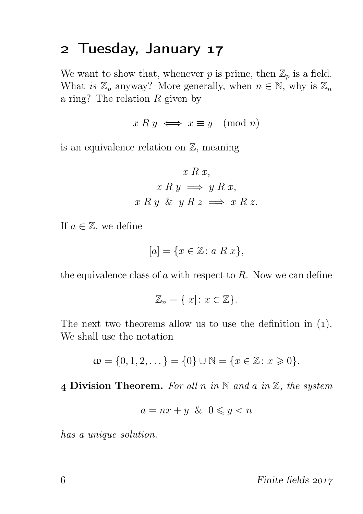### 2 Tuesday, January 17

We want to show that, whenever p is prime, then  $\mathbb{Z}_p$  is a field. What is  $\mathbb{Z}_p$  anyway? More generally, when  $n \in \mathbb{N}$ , why is  $\mathbb{Z}_n$ a ring? The relation  $R$  given by

$$
x R y \iff x \equiv y \pmod{n}
$$

is an equivalence relation on  $\mathbb{Z}$ , meaning

$$
x R x,
$$
  
\n
$$
x R y \implies y R x,
$$
  
\n
$$
x R y \& y R z \implies x R z.
$$

If  $a \in \mathbb{Z}$ , we define

$$
[a] = \{x \in \mathbb{Z} \colon a \; R \; x\},\
$$

the equivalence class of  $a$  with respect to  $R$ . Now we can define

$$
\mathbb{Z}_n = \{ [x] \colon x \in \mathbb{Z} \}.
$$

The next two theorems allow us to use the definition in  $(1)$ . We shall use the notation

$$
\mathbf{w} = \{0, 1, 2, \dots\} = \{0\} \cup \mathbb{N} = \{x \in \mathbb{Z} : x \geq 0\}.
$$

4 Division Theorem. For all n in  $\mathbb N$  and a in  $\mathbb Z$ , the system

$$
a = nx + y \& 0 \leqslant y < n
$$

has a unique solution.

 $6 \t\t \text{Finite fields } 2017$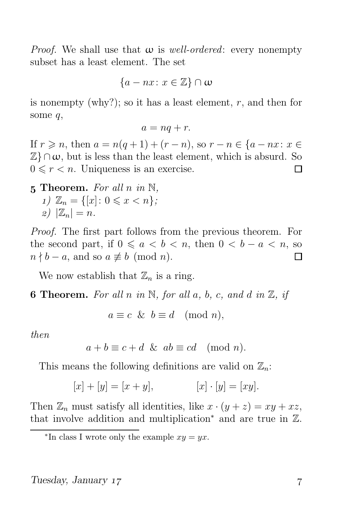*Proof.* We shall use that  $\omega$  is well-ordered: every nonempty subset has a least element. The set

$$
\{a - nx \colon x \in \mathbb{Z}\} \cap \omega
$$

is nonempty (why?); so it has a least element,  $r$ , and then for some q,

$$
a=nq+r.
$$

If  $r \geq n$ , then  $a = n(q+1) + (r-n)$ , so  $r - n \in \{a - nx : x \in$  $\mathbb{Z}$   $\cap$   $\omega$ , but is less than the least element, which is absurd. So  $0 \leq r < n$ . Uniqueness is an exercise. П

5 Theorem. For all n in  $\mathbb{N}$ , 1)  $\mathbb{Z}_n = \{ [x] : 0 \leq x < n \};$  $|z|$   $|\mathbb{Z}_n| = n$ .

Proof. The first part follows from the previous theorem. For the second part, if  $0 \le a < b < n$ , then  $0 < b - a < n$ , so  $n \nmid b - a$ , and so  $a \not\equiv b \pmod{n}$ . П

We now establish that  $\mathbb{Z}_n$  is a ring.

**6 Theorem.** For all n in N, for all a, b, c, and d in  $\mathbb{Z}$ , if

$$
a \equiv c \And b \equiv d \pmod{n},
$$

then

$$
a + b \equiv c + d \& ab \equiv cd \pmod{n}.
$$

This means the following definitions are valid on  $\mathbb{Z}_n$ :

$$
[x] + [y] = [x + y], \qquad [x] \cdot [y] = [xy].
$$

Then  $\mathbb{Z}_n$  must satisfy all identities, like  $x \cdot (y + z) = xy + xz$ , that involve addition and multiplication<sup>∗</sup> and are true in Z.

<sup>\*</sup>In class I wrote only the example  $xy = yx$ .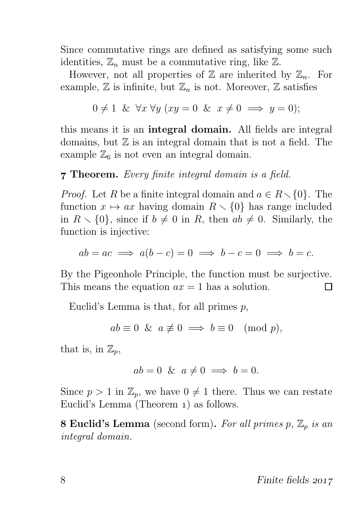Since commutative rings are defined as satisfying some such identities,  $\mathbb{Z}_n$  must be a commutative ring, like  $\mathbb{Z}$ .

However, not all properties of  $\mathbb Z$  are inherited by  $\mathbb Z_n$ . For example,  $\mathbb Z$  is infinite, but  $\mathbb Z_n$  is not. Moreover,  $\mathbb Z$  satisfies

$$
0 \neq 1 \& \forall x \forall y (xy = 0 \& x \neq 0 \implies y = 0);
$$

this means it is an integral domain. All fields are integral domains, but  $\mathbb Z$  is an integral domain that is not a field. The example  $\mathbb{Z}_6$  is not even an integral domain.

### **7 Theorem.** Every finite integral domain is a field.

*Proof.* Let R be a finite integral domain and  $a \in R \setminus \{0\}$ . The function  $x \mapsto ax$  having domain  $R \setminus \{0\}$  has range included in  $R \setminus \{0\}$ , since if  $b \neq 0$  in R, then  $ab \neq 0$ . Similarly, the function is injective:

$$
ab = ac \implies a(b - c) = 0 \implies b - c = 0 \implies b = c.
$$

By the Pigeonhole Principle, the function must be surjective. This means the equation  $ax = 1$  has a solution. П

Euclid's Lemma is that, for all primes  $p$ ,

$$
ab \equiv 0 \& a \not\equiv 0 \implies b \equiv 0 \pmod{p},
$$

that is, in  $\mathbb{Z}_p$ ,

$$
ab = 0 \& a \neq 0 \implies b = 0.
$$

Since  $p > 1$  in  $\mathbb{Z}_p$ , we have  $0 \neq 1$  there. Thus we can restate Euclid's Lemma (Theorem 1) as follows.

**8 Euclid's Lemma** (second form). For all primes p,  $\mathbb{Z}_p$  is an integral domain.

8 Finite fields 2017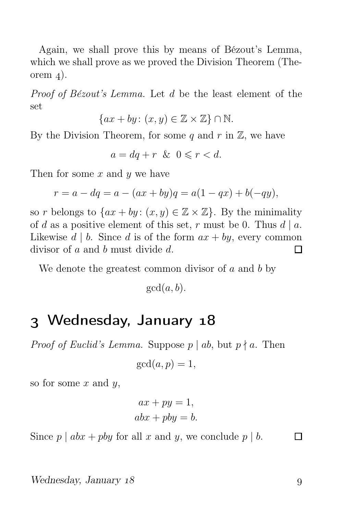Again, we shall prove this by means of Bézout's Lemma, which we shall prove as we proved the Division Theorem (Theorem  $_4$ ).

Proof of Bézout's Lemma. Let d be the least element of the set

$$
\{ax + by: (x, y) \in \mathbb{Z} \times \mathbb{Z}\} \cap \mathbb{N}.
$$

By the Division Theorem, for some q and r in  $\mathbb{Z}$ , we have

 $a = da + r \& 0 \leq r < d.$ 

Then for some  $x$  and  $y$  we have

$$
r = a - dq = a - (ax + by)q = a(1 - qx) + b(-qy),
$$

so r belongs to  $\{ax + by: (x, y) \in \mathbb{Z} \times \mathbb{Z}\}$ . By the minimality of d as a positive element of this set, r must be 0. Thus  $d | a$ . Likewise  $d \mid b$ . Since d is of the form  $ax + by$ , every common divisor of a and b must divide d. П

We denote the greatest common divisor of  $a$  and  $b$  by

 $gcd(a, b)$ .

### 3 Wednesday, January 18

*Proof of Euclid's Lemma.* Suppose  $p | ab$ , but  $p \nmid a$ . Then

$$
\gcd(a, p) = 1,
$$

so for some  $x$  and  $y$ ,

$$
ax + py = 1,
$$
  

$$
abx + pby = b.
$$

Since  $p \mid abx + pby$  for all x and y, we conclude  $p \mid b$ .

 $\Box$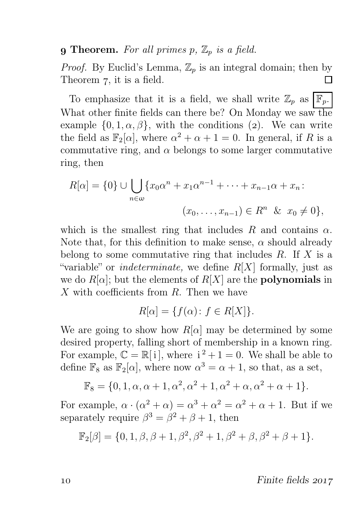#### **9 Theorem.** For all primes p,  $\mathbb{Z}_p$  is a field.

*Proof.* By Euclid's Lemma,  $\mathbb{Z}_p$  is an integral domain; then by Theorem 7, it is a field. П

To emphasize that it is a field, we shall write  $\mathbb{Z}_p$  as  $\vert \mathbb{F}_p$ . What other finite fields can there be? On Monday we saw the example  $\{0, 1, \alpha, \beta\}$ , with the conditions (2). We can write the field as  $\mathbb{F}_2[\alpha]$ , where  $\alpha^2 + \alpha + 1 = 0$ . In general, if R is a commutative ring, and  $\alpha$  belongs to some larger commutative ring, then

$$
R[\alpha] = \{0\} \cup \bigcup_{n \in \omega} \{x_0 \alpha^n + x_1 \alpha^{n-1} + \dots + x_{n-1} \alpha + x_n : (x_0, \dots, x_{n-1}) \in R^n \& x_0 \neq 0\},\
$$

which is the smallest ring that includes R and contains  $\alpha$ . Note that, for this definition to make sense,  $\alpha$  should already belong to some commutative ring that includes  $R$ . If  $X$  is a "variable" or *indeterminate*, we define  $R[X]$  formally, just as we do  $R[\alpha]$ ; but the elements of  $R[X]$  are the **polynomials** in X with coefficients from R. Then we have

$$
R[\alpha] = \{ f(\alpha) \colon f \in R[X] \}.
$$

We are going to show how  $R[\alpha]$  may be determined by some desired property, falling short of membership in a known ring. For example,  $\mathbb{C} = \mathbb{R}[i]$ , where  $i^2 + 1 = 0$ . We shall be able to define  $\mathbb{F}_8$  as  $\mathbb{F}_2[\alpha]$ , where now  $\alpha^3 = \alpha + 1$ , so that, as a set,

$$
\mathbb{F}_8 = \{0, 1, \alpha, \alpha + 1, \alpha^2, \alpha^2 + 1, \alpha^2 + \alpha, \alpha^2 + \alpha + 1\}.
$$

For example,  $\alpha \cdot (\alpha^2 + \alpha) = \alpha^3 + \alpha^2 = \alpha^2 + \alpha + 1$ . But if we separately require  $\beta^3 = \beta^2 + \beta + 1$ , then

$$
\mathbb{F}_2[\beta] = \{0, 1, \beta, \beta + 1, \beta^2, \beta^2 + 1, \beta^2 + \beta, \beta^2 + \beta + 1\}.
$$

10 Finite fields 2017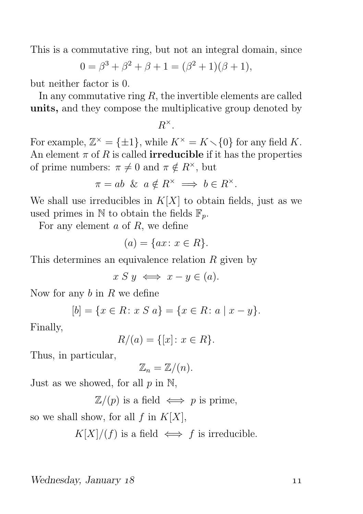This is a commutative ring, but not an integral domain, since

$$
0 = \beta^3 + \beta^2 + \beta + 1 = (\beta^2 + 1)(\beta + 1),
$$

but neither factor is 0.

In any commutative ring  $R$ , the invertible elements are called units, and they compose the multiplicative group denoted by

$$
R^\times.
$$

For example,  $\mathbb{Z}^{\times} = {\pm 1}$ , while  $K^{\times} = K \setminus \{0\}$  for any field K. An element  $\pi$  of R is called **irreducible** if it has the properties of prime numbers:  $\pi \neq 0$  and  $\pi \notin R^{\times}$ , but

$$
\pi = ab \And a \notin R^{\times} \implies b \in R^{\times}.
$$

We shall use irreducibles in  $K[X]$  to obtain fields, just as we used primes in  $\mathbb N$  to obtain the fields  $\mathbb F_p$ .

For any element  $a$  of  $R$ , we define

$$
(a) = \{ax \colon x \in R\}.
$$

This determines an equivalence relation R given by

 $x S y \iff x - y \in (a).$ 

Now for any  $b$  in  $R$  we define

$$
[b] = \{x \in R \colon x \ S \ a\} = \{x \in R \colon a \mid x - y\}.
$$

Finally,

$$
R/(a) = \{ [x] \colon x \in R \}.
$$

Thus, in particular,

$$
\mathbb{Z}_n=\mathbb{Z}/(n).
$$

Just as we showed, for all  $p$  in  $\mathbb{N}$ ,

 $\mathbb{Z}/(p)$  is a field  $\iff p$  is prime,

so we shall show, for all f in  $K[X]$ ,

 $K[X]/(f)$  is a field  $\iff f$  is irreducible.

Wednesday, January 18 and 11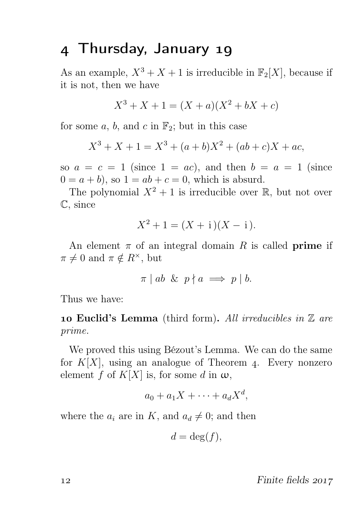### 4 Thursday, January 19

As an example,  $X^3 + X + 1$  is irreducible in  $\mathbb{F}_2[X]$ , because if it is not, then we have

$$
X^3 + X + 1 = (X + a)(X^2 + bX + c)
$$

for some a, b, and c in  $\mathbb{F}_2$ ; but in this case

$$
X^3 + X + 1 = X^3 + (a+b)X^2 + (ab+c)X + ac,
$$

so  $a = c = 1$  (since  $1 = ac$ ), and then  $b = a = 1$  (since  $0 = a + b$ , so  $1 = ab + c = 0$ , which is absurd.

The polynomial  $X^2 + 1$  is irreducible over R, but not over C, since

$$
X^2 + 1 = (X + i)(X - i).
$$

An element  $\pi$  of an integral domain R is called **prime** if  $\pi \neq 0$  and  $\pi \notin R^{\times}$ , but

$$
\pi \mid ab \And p \nmid a \implies p \mid b.
$$

Thus we have:

**10 Euclid's Lemma** (third form). All irreducibles in  $\mathbb Z$  are prime.

We proved this using Bézout's Lemma. We can do the same for  $K[X]$ , using an analogue of Theorem 4. Every nonzero element f of  $K[X]$  is, for some d in  $\omega$ ,

$$
a_0 + a_1 X + \cdots + a_d X^d,
$$

where the  $a_i$  are in K, and  $a_d \neq 0$ ; and then

$$
d = \deg(f),
$$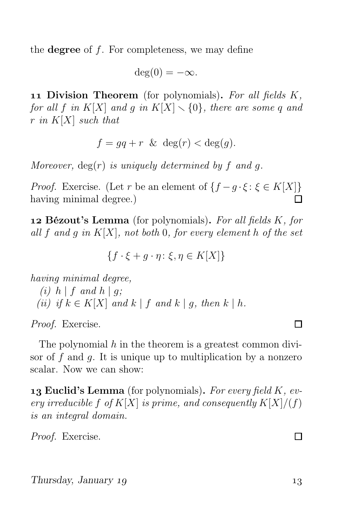the **degree** of  $f$ . For completeness, we may define

$$
\deg(0) = -\infty.
$$

11 Division Theorem (for polynomials). For all fields  $K$ , for all f in K[X] and g in K[X]  $\setminus$  {0}, there are some q and r in  $K[X]$  such that

$$
f = gq + r \& \deg(r) < \deg(g).
$$

Moreover,  $deg(r)$  is uniquely determined by f and q.

*Proof.* Exercise. (Let r be an element of  $\{f - g \cdot \xi : \xi \in K[X]\}$ having minimal degree.) п

**12 Bézout's Lemma** (for polynomials). For all fields  $K$ , for all f and g in  $K[X]$ , not both 0, for every element h of the set

$$
\{f \cdot \xi + g \cdot \eta \colon \xi, \eta \in K[X]\}
$$

having minimal degree,

(i)  $h \mid f$  and  $h \mid g$ ; (ii) if  $k \in K[X]$  and  $k \mid f$  and  $k \mid q$ , then  $k \mid h$ .

Proof. Exercise.

The polynomial  $h$  in the theorem is a greatest common divisor of  $f$  and  $g$ . It is unique up to multiplication by a nonzero scalar. Now we can show:

**13 Euclid's Lemma** (for polynomials). For every field  $K$ , every irreducible f of  $K[X]$  is prime, and consequently  $K[X]/(f)$ is an integral domain.

Proof. Exercise.

 $\Box$ 

#### П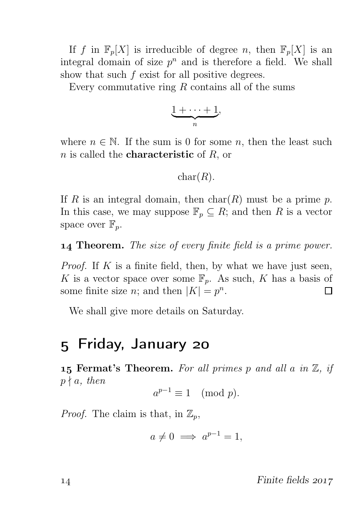If f in  $\mathbb{F}_p[X]$  is irreducible of degree n, then  $\mathbb{F}_p[X]$  is an integral domain of size  $p^n$  and is therefore a field. We shall show that such f exist for all positive degrees.

Every commutative ring  $R$  contains all of the sums

$$
\underbrace{1+\cdots+1}_{n},
$$

where  $n \in \mathbb{N}$ . If the sum is 0 for some n, then the least such  $n$  is called the **characteristic** of  $R$ , or

### $char(R)$ .

If R is an integral domain, then  $char(R)$  must be a prime p. In this case, we may suppose  $\mathbb{F}_p \subseteq R$ ; and then R is a vector space over  $\mathbb{F}_n$ .

**14 Theorem.** The size of every finite field is a prime power.

*Proof.* If  $K$  is a finite field, then, by what we have just seen, K is a vector space over some  $\mathbb{F}_p$ . As such, K has a basis of some finite size *n*; and then  $|K| = p^n$ . П

We shall give more details on Saturday.

### 5 Friday, January 20

**15 Fermat's Theorem.** For all primes p and all a in  $\mathbb{Z}$ , if  $p \nmid a$ , then

 $a^{p-1} \equiv 1 \pmod{p}.$ 

*Proof.* The claim is that, in  $\mathbb{Z}_p$ ,

$$
a \neq 0 \implies a^{p-1} = 1,
$$

14 Finite fields 2017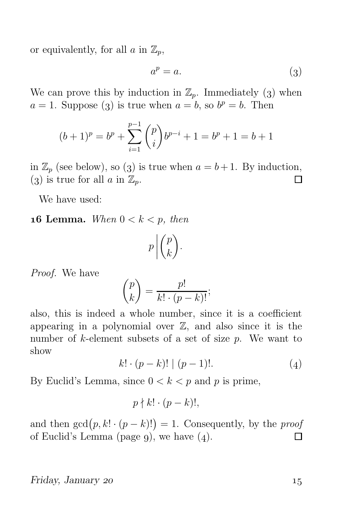or equivalently, for all  $a$  in  $\mathbb{Z}_p$ ,

$$
a^p = a.\t\t(3)
$$

We can prove this by induction in  $\mathbb{Z}_p$ . Immediately (3) when  $a = 1$ . Suppose (3) is true when  $a = b$ , so  $b^p = b$ . Then

$$
(b+1)^p = b^p + \sum_{i=1}^{p-1} \binom{p}{i} b^{p-i} + 1 = b^p + 1 = b + 1
$$

in  $\mathbb{Z}_n$  (see below), so (3) is true when  $a = b + 1$ . By induction, (3) is true for all a in  $\mathbb{Z}_p$ . П

We have used:

**16 Lemma.** When  $0 < k < p$ , then

$$
p\left|\binom{p}{k}\right|.
$$

Proof. We have

$$
\binom{p}{k} = \frac{p!}{k! \cdot (p-k)!};
$$

also, this is indeed a whole number, since it is a coefficient appearing in a polynomial over  $\mathbb{Z}$ , and also since it is the number of k-element subsets of a set of size p. We want to show

$$
k! \cdot (p-k)! \mid (p-1)!.
$$
 (4)

By Euclid's Lemma, since  $0 < k < p$  and p is prime,

$$
p \nmid k! \cdot (p-k)!,
$$

and then  $gcd(p, k! \cdot (p - k)! ) = 1$ . Consequently, by the *proof* of Euclid's Lemma (page 9), we have  $(4)$ .  $\Box$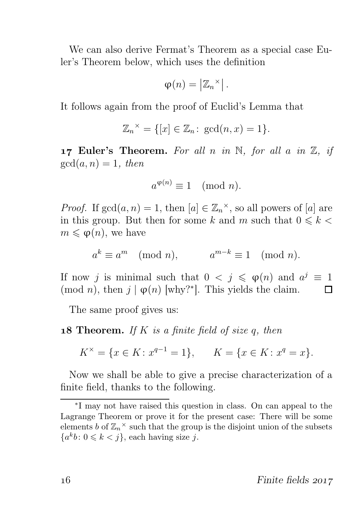We can also derive Fermat's Theorem as a special case Euler's Theorem below, which uses the definition

$$
\varphi(n) = \left| \mathbb{Z}_n^{\times} \right|.
$$

It follows again from the proof of Euclid's Lemma that

$$
\mathbb{Z}_n^{\times} = \{ [x] \in \mathbb{Z}_n : \gcd(n, x) = 1 \}.
$$

17 Euler's Theorem. For all n in  $\mathbb N$ , for all a in  $\mathbb Z$ , if  $gcd(a, n) = 1$ , then

$$
a^{\varphi(n)} \equiv 1 \pmod{n}.
$$

*Proof.* If  $gcd(a, n) = 1$ , then  $[a] \in \mathbb{Z}_n^{\times}$ , so all powers of  $[a]$  are in this group. But then for some k and m such that  $0 \le k$  $m \leq \varphi(n)$ , we have

$$
a^k \equiv a^m \pmod{n}, \qquad a^{m-k} \equiv 1 \pmod{n}.
$$

If now j is minimal such that  $0 < j \leqslant \varphi(n)$  and  $a^j \equiv 1$ (mod *n*), then  $j | \varphi(n)$  [why?<sup>\*</sup>]. This yields the claim. П

The same proof gives us:

#### **18 Theorem.** If K is a finite field of size q, then

$$
K^{\times} = \{ x \in K \colon x^{q-1} = 1 \}, \qquad K = \{ x \in K \colon x^q = x \}.
$$

Now we shall be able to give a precise characterization of a finite field, thanks to the following.

<sup>∗</sup> I may not have raised this question in class. On can appeal to the Lagrange Theorem or prove it for the present case: There will be some elements b of  $\mathbb{Z}_n^{\times}$  such that the group is the disjoint union of the subsets  ${a^k b \colon 0 \leqslant k < j}$ , each having size j.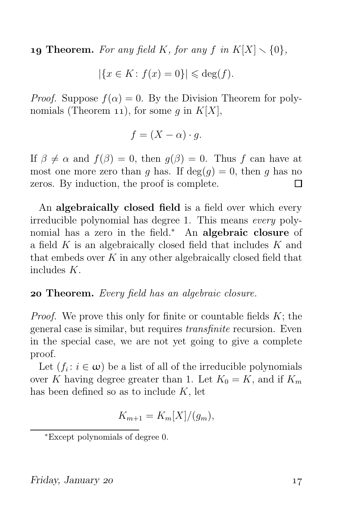**19 Theorem.** For any field K, for any f in  $K[X] \setminus \{0\}$ ,

$$
|\{x \in K : f(x) = 0\}| \leqslant \deg(f).
$$

*Proof.* Suppose  $f(\alpha) = 0$ . By the Division Theorem for polynomials (Theorem 11), for some q in  $K[X]$ ,

$$
f = (X - \alpha) \cdot g.
$$

If  $\beta \neq \alpha$  and  $f(\beta) = 0$ , then  $g(\beta) = 0$ . Thus f can have at most one more zero than q has. If  $deg(q) = 0$ , then q has no zeros. By induction, the proof is complete. П

An algebraically closed field is a field over which every irreducible polynomial has degree 1. This means every polynomial has a zero in the field.<sup>∗</sup> An **algebraic closure** of a field  $K$  is an algebraically closed field that includes  $K$  and that embeds over  $K$  in any other algebraically closed field that includes K.

#### **20 Theorem.** Every field has an algebraic closure.

*Proof.* We prove this only for finite or countable fields  $K$ ; the general case is similar, but requires transfinite recursion. Even in the special case, we are not yet going to give a complete proof.

Let  $(f_i : i \in \omega)$  be a list of all of the irreducible polynomials over K having degree greater than 1. Let  $K_0 = K$ , and if  $K_m$ has been defined so as to include  $K$ , let

$$
K_{m+1} = K_m[X]/(g_m),
$$

<sup>∗</sup>Except polynomials of degree 0.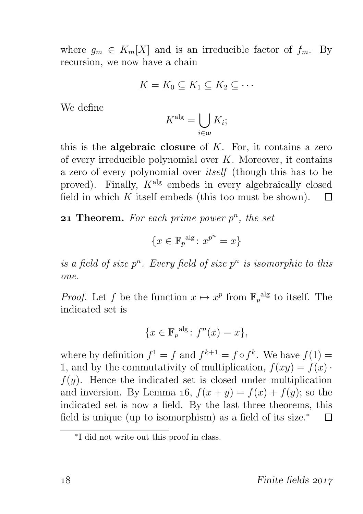where  $g_m \in K_m[X]$  and is an irreducible factor of  $f_m$ . By recursion, we now have a chain

$$
K = K_0 \subseteq K_1 \subseteq K_2 \subseteq \cdots
$$

We define

$$
K^{\mathrm{alg}} = \bigcup_{i \in \omega} K_i;
$$

this is the **algebraic closure** of  $K$ . For, it contains a zero of every irreducible polynomial over  $K$ . Moreover, it contains a zero of every polynomial over itself (though this has to be proved). Finally,  $K^{\text{alg}}$  embeds in every algebraically closed field in which  $K$  itself embeds (this too must be shown).  $\Box$ 

**21 Theorem.** For each prime power  $p^n$ , the set

$$
\{x \in \mathbb{F}_p^{\text{alg}} \colon x^{p^n} = x\}
$$

is a field of size  $p^n$ . Every field of size  $p^n$  is isomorphic to this one.

*Proof.* Let f be the function  $x \mapsto x^p$  from  $\mathbb{F}_p^{\text{alg}}$  to itself. The indicated set is

$$
\{x \in \mathbb{F}_p^{\text{alg}} \colon f^n(x) = x\},
$$

where by definition  $f^1 = f$  and  $f^{k+1} = f \circ f^k$ . We have  $f(1) =$ 1, and by the commutativity of multiplication,  $f(xy) = f(x)$ .  $f(y)$ . Hence the indicated set is closed under multiplication and inversion. By Lemma 16,  $f(x + y) = f(x) + f(y)$ ; so the indicated set is now a field. By the last three theorems, this field is unique (up to isomorphism) as a field of its size.<sup>\*</sup> П

<sup>∗</sup> I did not write out this proof in class.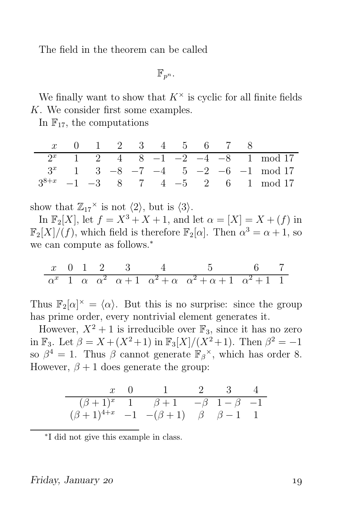The field in the theorem can be called

 $\mathbb{F}_{n^n}$ .

We finally want to show that  $K^{\times}$  is cyclic for all finite fields K. We consider first some examples.

In  $\mathbb{F}_{17}$ , the computations

|  | 1 2 3 4 5 6 7 8 |  |  |  |                                      |
|--|-----------------|--|--|--|--------------------------------------|
|  |                 |  |  |  | $2^x$ 1 2 4 8 -1 -2 -4 -8 1 mod 17   |
|  |                 |  |  |  | $3^x$ 1 3 -8 -7 -4 5 -2 -6 -1 mod 17 |
|  |                 |  |  |  | $-1$ $-3$ 8 7 4 $-5$ 2 6 1 mod 17    |

show that  $\mathbb{Z}_{17}^{\times}$  is not  $\langle 2 \rangle$ , but is  $\langle 3 \rangle$ .

In  $\mathbb{F}_2[X]$ , let  $f = X^3 + X + 1$ , and let  $\alpha = [X] = X + (f)$  in  $\mathbb{F}_2[X]/(f)$ , which field is therefore  $\mathbb{F}_2[\alpha]$ . Then  $\alpha^3 = \alpha + 1$ , so we can compute as follows.<sup>\*</sup>

$$
\begin{array}{ccccccccc}\nx & 0 & 1 & 2 & 3 & 4 & 5 & 6 & 7 \\
\alpha^x & 1 & \alpha & \alpha^2 & \alpha+1 & \alpha^2+\alpha & \alpha^2+\alpha+1 & \alpha^2+1 & 1\n\end{array}
$$

Thus  $\mathbb{F}_2[\alpha]^\times = \langle \alpha \rangle$ . But this is no surprise: since the group has prime order, every nontrivial element generates it.

However,  $X^2 + 1$  is irreducible over  $\mathbb{F}_3$ , since it has no zero in  $\mathbb{F}_3$ . Let  $\beta = X + (X^2 + 1)$  in  $\mathbb{F}_3[X]/(X^2 + 1)$ . Then  $\beta^2 = -1$ so  $\beta^4 = 1$ . Thus  $\beta$  cannot generate  $\mathbb{F}_{\beta}^{\times}$ , which has order 8. However,  $\beta + 1$  does generate the group:

|                                                              | $x \quad 0 \qquad 1 \qquad 2 \qquad 3 \qquad 4$      |  |  |
|--------------------------------------------------------------|------------------------------------------------------|--|--|
|                                                              | $(\beta + 1)^x$ 1 $\beta + 1$ $-\beta$ 1 $-\beta$ -1 |  |  |
| $(\beta + 1)^{4+x}$ -1 - $(\beta + 1)$ $\beta$ $\beta - 1$ 1 |                                                      |  |  |

∗ I did not give this example in class.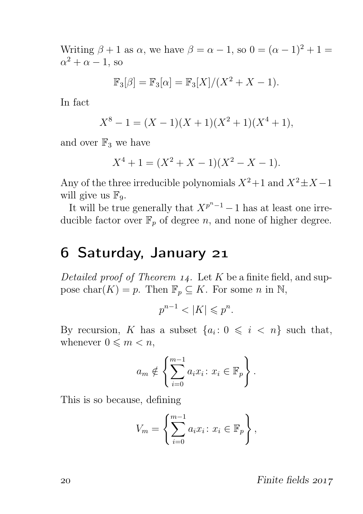Writing  $\beta + 1$  as  $\alpha$ , we have  $\beta = \alpha - 1$ , so  $0 = (\alpha - 1)^2 + 1 =$  $\alpha^2 + \alpha - 1$ , so

$$
\mathbb{F}_3[\beta] = \mathbb{F}_3[\alpha] = \mathbb{F}_3[X]/(X^2 + X - 1).
$$

In fact

$$
X^8 - 1 = (X - 1)(X + 1)(X^2 + 1)(X^4 + 1),
$$

and over  $\mathbb{F}_3$  we have

$$
X^4 + 1 = (X^2 + X - 1)(X^2 - X - 1).
$$

Any of the three irreducible polynomials  $X^2+1$  and  $X^2\pm X-1$ will give us  $\mathbb{F}_9$ .

It will be true generally that  $X^{p^{n}-1}-1$  has at least one irreducible factor over  $\mathbb{F}_p$  of degree *n*, and none of higher degree.

### 6 Saturday, January 21

Detailed proof of Theorem  $14$ . Let K be a finite field, and suppose char $(K) = p$ . Then  $\mathbb{F}_p \subseteq K$ . For some n in N,

$$
p^{n-1} < |K| \leqslant p^n.
$$

By recursion, K has a subset  $\{a_i: 0 \leq i \leq n\}$  such that, whenever  $0 \leq m < n$ ,

$$
a_m \notin \left\{ \sum_{i=0}^{m-1} a_i x_i : x_i \in \mathbb{F}_p \right\}.
$$

This is so because, defining

$$
V_m = \left\{ \sum_{i=0}^{m-1} a_i x_i : x_i \in \mathbb{F}_p \right\},\,
$$

20 Pinite fields 2017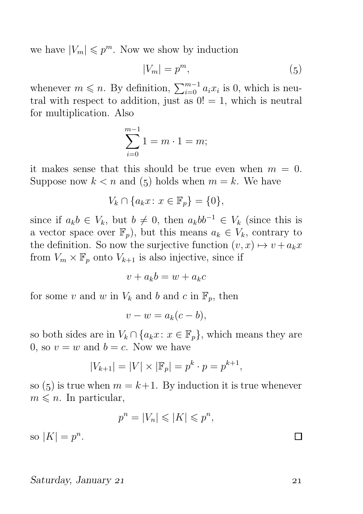we have  $|V_m| \leqslant p^m$ . Now we show by induction

$$
|V_m| = p^m,\t\t(5)
$$

whenever  $m \leq n$ . By definition,  $\sum_{i=0}^{m-1} a_i x_i$  is 0, which is neutral with respect to addition, just as  $0! = 1$ , which is neutral for multiplication. Also

$$
\sum_{i=0}^{m-1} 1 = m \cdot 1 = m;
$$

it makes sense that this should be true even when  $m = 0$ . Suppose now  $k < n$  and (5) holds when  $m = k$ . We have

$$
V_k \cap \{a_k x \colon x \in \mathbb{F}_p\} = \{0\},\
$$

since if  $a_kb \in V_k$ , but  $b \neq 0$ , then  $a_kbb^{-1} \in V_k$  (since this is a vector space over  $\mathbb{F}_p$ , but this means  $a_k \in V_k$ , contrary to the definition. So now the surjective function  $(v, x) \mapsto v + a_k x$ from  $V_m \times \mathbb{F}_p$  onto  $V_{k+1}$  is also injective, since if

$$
v + a_k b = w + a_k c
$$

for some v and w in  $V_k$  and b and c in  $\mathbb{F}_p$ , then

$$
v - w = a_k(c - b),
$$

so both sides are in  $V_k \cap \{a_k x : x \in \mathbb{F}_p\}$ , which means they are 0, so  $v = w$  and  $b = c$ . Now we have

$$
|V_{k+1}| = |V| \times |\mathbb{F}_p| = p^k \cdot p = p^{k+1},
$$

so (5) is true when  $m = k+1$ . By induction it is true whenever  $m \leq n$ . In particular,

$$
p^n = |V_n| \leqslant |K| \leqslant p^n,
$$

so  $|K| = p^n$ .

#### Saturday, January 21 21

 $\Box$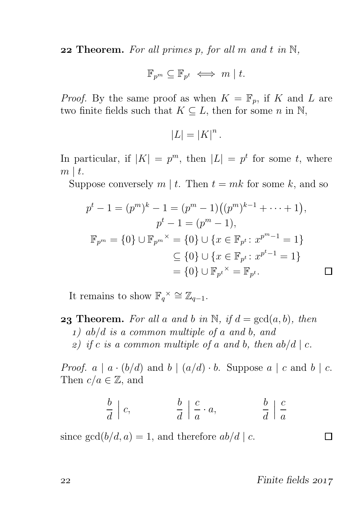**22 Theorem.** For all primes p, for all m and t in  $\mathbb{N}$ ,

$$
\mathbb{F}_{p^m} \subseteq \mathbb{F}_{p^t} \iff m \mid t.
$$

*Proof.* By the same proof as when  $K = \mathbb{F}_p$ , if K and L are two finite fields such that  $K \subseteq L$ , then for some n in N,

$$
|L| = |K|^n.
$$

In particular, if  $|K| = p^m$ , then  $|L| = p^t$  for some t, where  $m \mid t$ .

Suppose conversely  $m \mid t$ . Then  $t = mk$  for some k, and so

$$
p^{t} - 1 = (p^{m})^{k} - 1 = (p^{m} - 1)((p^{m})^{k-1} + \dots + 1),
$$
  
\n
$$
p^{t} - 1 = (p^{m} - 1),
$$
  
\n
$$
\mathbb{F}_{p^{m}} = \{0\} \cup \mathbb{F}_{p^{m}}^{\times} = \{0\} \cup \{x \in \mathbb{F}_{p^{t}} : x^{p^{m} - 1} = 1\}
$$
  
\n
$$
\subseteq \{0\} \cup \{x \in \mathbb{F}_{p^{t}} : x^{p^{t} - 1} = 1\}
$$
  
\n
$$
= \{0\} \cup \mathbb{F}_{p^{t}}^{\times} = \mathbb{F}_{p^{t}}.
$$

It remains to show  $\mathbb{F}_q^{\times} \cong \mathbb{Z}_{q-1}$ .

**23 Theorem.** For all a and b in N, if  $d = \gcd(a, b)$ , then ) ab/d is a common multiple of a and b, and 2) if c is a common multiple of a and b, then  $ab/d \mid c$ .

*Proof.*  $a \mid a \cdot (b/d)$  and  $b \mid (a/d) \cdot b$ . Suppose  $a \mid c$  and  $b \mid c$ . Then  $c/a \in \mathbb{Z}$ , and

$$
\frac{b}{d} \mid c, \qquad \frac{b}{d} \mid \frac{c}{a} \cdot a, \qquad \frac{b}{d} \mid \frac{c}{a}
$$

since  $gcd(b/d, a) = 1$ , and therefore  $ab/d \mid c$ .

22 Finite fields 2017

 $\Box$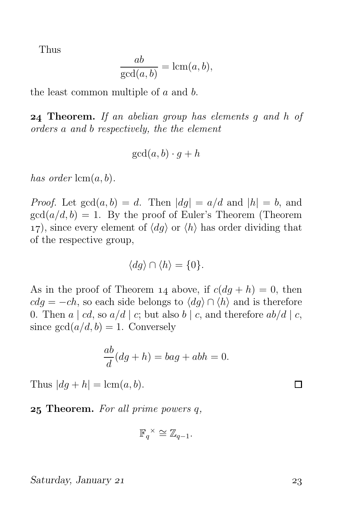Thus

$$
\frac{ab}{\gcd(a,b)} = \operatorname{lcm}(a,b),
$$

the least common multiple of a and b.

**24 Theorem.** If an abelian group has elements q and h of orders a and b respectively, the the element

$$
\gcd(a, b) \cdot g + h
$$

has order  $\text{lcm}(a, b)$ .

*Proof.* Let  $gcd(a, b) = d$ . Then  $|dg| = a/d$  and  $|h| = b$ , and  $gcd(a/d, b) = 1$ . By the proof of Euler's Theorem (Theorem 17), since every element of  $\langle dg \rangle$  or  $\langle h \rangle$  has order dividing that of the respective group,

$$
\langle dg \rangle \cap \langle h \rangle = \{0\}.
$$

As in the proof of Theorem 14 above, if  $c(dq + h) = 0$ , then  $cdq = -ch$ , so each side belongs to  $\langle dq \rangle \cap \langle h \rangle$  and is therefore 0. Then  $a \mid cd$ , so  $a/d \mid c$ ; but also  $b \mid c$ , and therefore  $ab/d \mid c$ , since  $gcd(a/d, b) = 1$ . Conversely

$$
\frac{ab}{d}(dg+h) = bag + abh = 0.
$$

Thus  $|dg + h| = \text{lcm}(a, b)$ .

**25 Theorem.** For all prime powers  $q$ ,

$$
\mathbb{F}_q^{\times} \cong \mathbb{Z}_{q-1}.
$$

Saturday, January 21 23

П